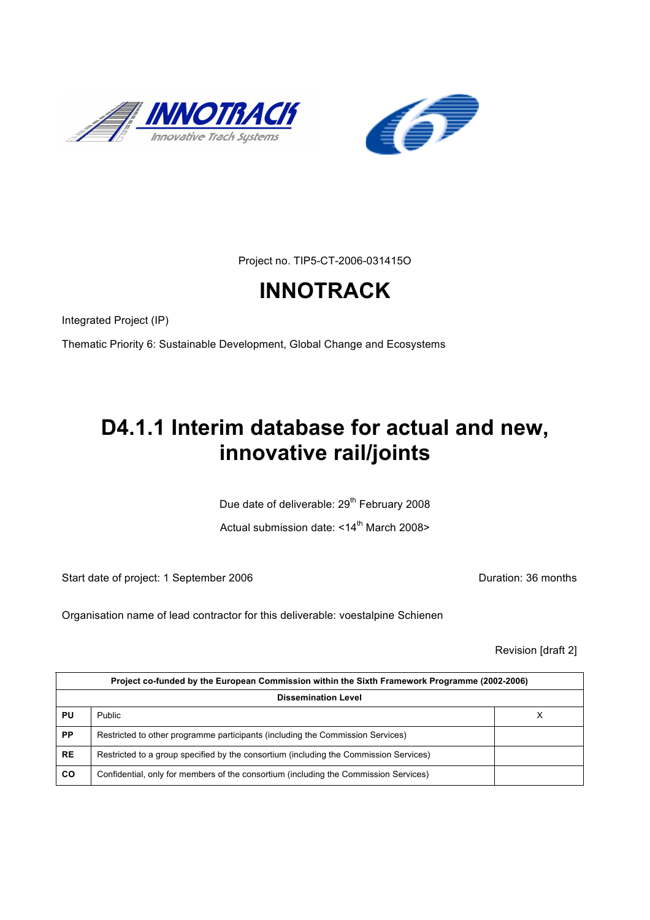



Project no. TIP5-CT-2006-031415O

# **INNOTRACK**

Integrated Project (IP)

Thematic Priority 6: Sustainable Development, Global Change and Ecosystems

# **D4.1.1 Interim database for actual and new, innovative rail/joints**

Due date of deliverable: 29<sup>th</sup> February 2008

Actual submission date:  $\leq 14^{\text{th}}$  March 2008>

Start date of project: 1 September 2006 **Duration: 36 months** 

Organisation name of lead contractor for this deliverable: voestalpine Schienen

Revision [draft 2]

|                            | Project co-funded by the European Commission within the Sixth Framework Programme (2002-2006) |   |  |  |
|----------------------------|-----------------------------------------------------------------------------------------------|---|--|--|
| <b>Dissemination Level</b> |                                                                                               |   |  |  |
| PU                         | <b>Public</b>                                                                                 | ⋏ |  |  |
| <b>PP</b>                  | Restricted to other programme participants (including the Commission Services)                |   |  |  |
| <b>RE</b>                  | Restricted to a group specified by the consortium (including the Commission Services)         |   |  |  |
| <b>CO</b>                  | Confidential, only for members of the consortium (including the Commission Services)          |   |  |  |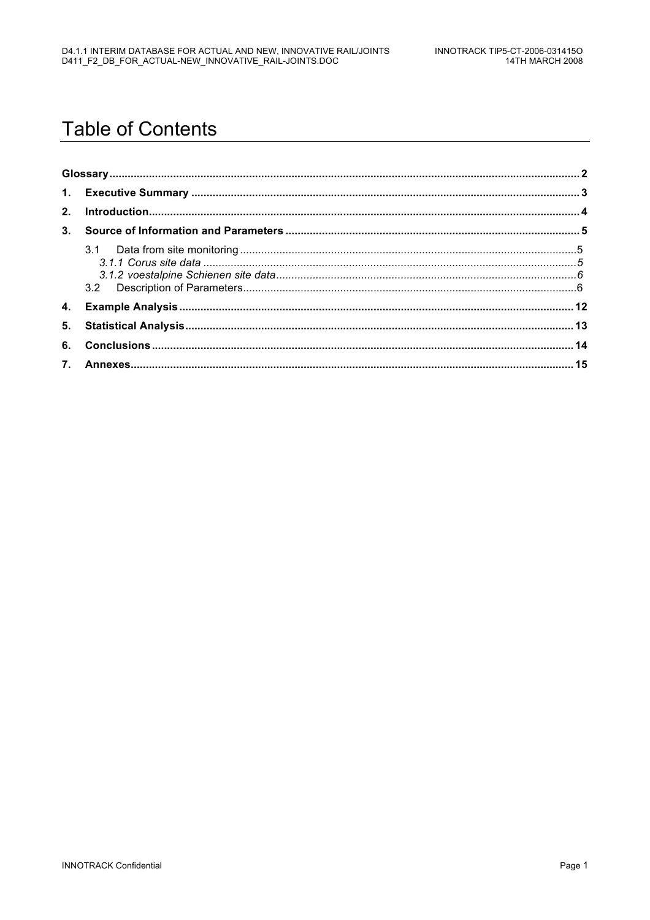# **Table of Contents**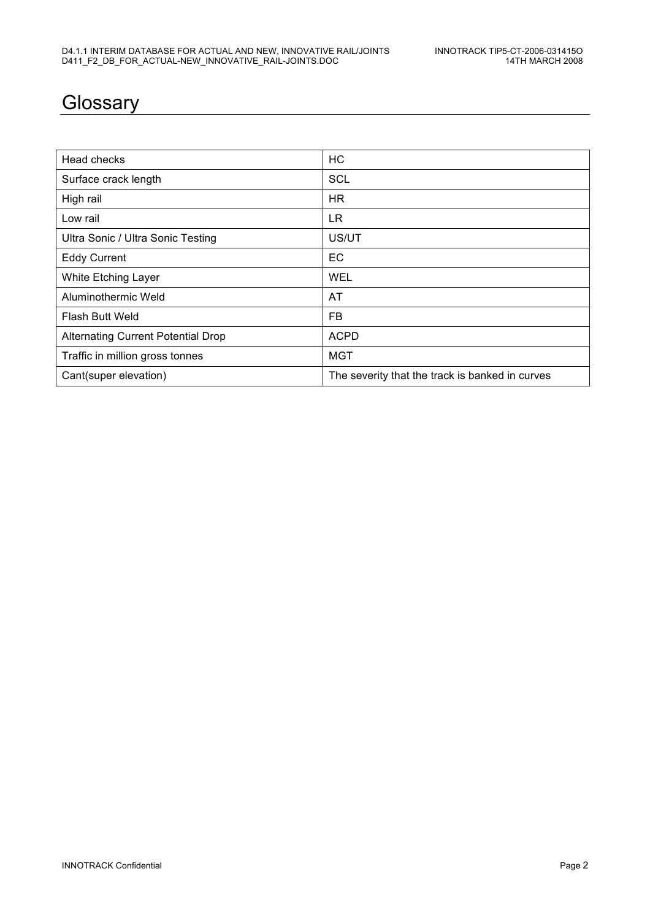### **Glossary**

| Head checks                               | <b>HC</b>                                       |
|-------------------------------------------|-------------------------------------------------|
| Surface crack length                      | <b>SCL</b>                                      |
| High rail                                 | <b>HR</b>                                       |
| Low rail                                  | LR.                                             |
| Ultra Sonic / Ultra Sonic Testing         | US/UT                                           |
| <b>Eddy Current</b>                       | EC                                              |
| White Etching Layer                       | <b>WEL</b>                                      |
| Aluminothermic Weld                       | AT                                              |
| Flash Butt Weld                           | <b>FB</b>                                       |
| <b>Alternating Current Potential Drop</b> | <b>ACPD</b>                                     |
| Traffic in million gross tonnes           | MGT                                             |
| Cant(super elevation)                     | The severity that the track is banked in curves |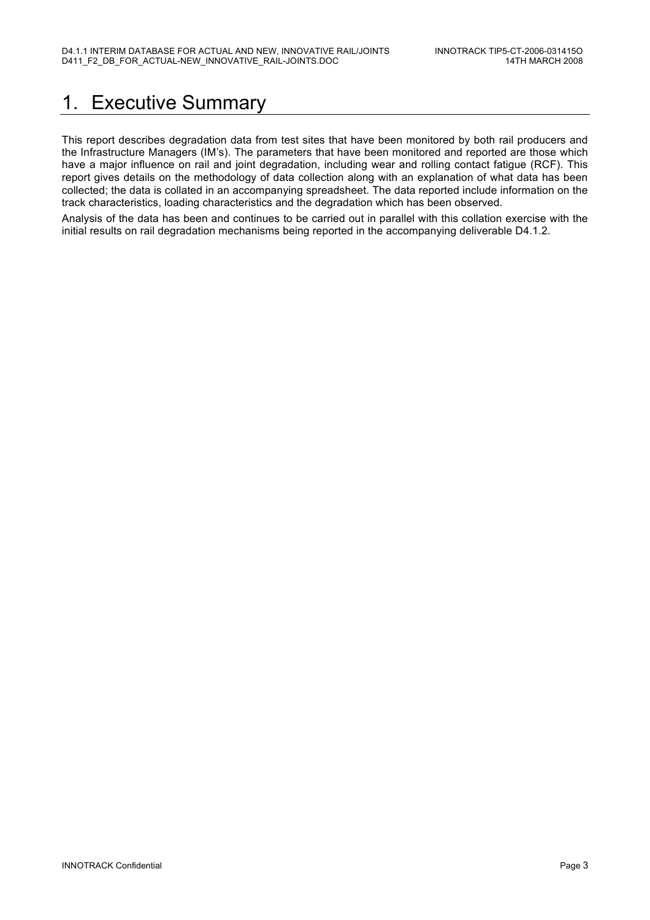### 1. Executive Summary

This report describes degradation data from test sites that have been monitored by both rail producers and the Infrastructure Managers (IM's). The parameters that have been monitored and reported are those which have a major influence on rail and joint degradation, including wear and rolling contact fatigue (RCF). This report gives details on the methodology of data collection along with an explanation of what data has been collected; the data is collated in an accompanying spreadsheet. The data reported include information on the track characteristics, loading characteristics and the degradation which has been observed.

Analysis of the data has been and continues to be carried out in parallel with this collation exercise with the initial results on rail degradation mechanisms being reported in the accompanying deliverable D4.1.2.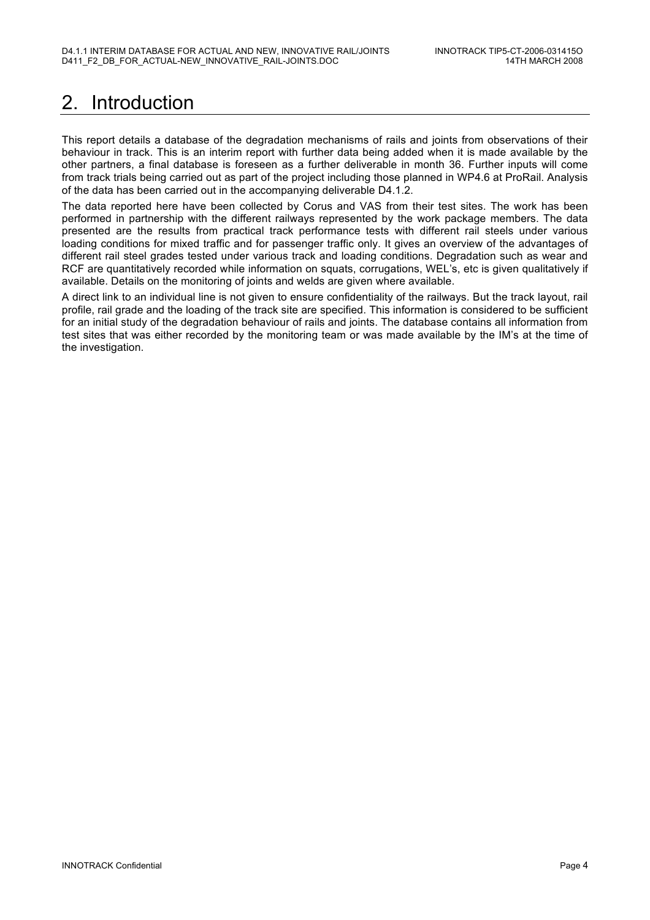# 2. Introduction

This report details a database of the degradation mechanisms of rails and joints from observations of their behaviour in track. This is an interim report with further data being added when it is made available by the other partners, a final database is foreseen as a further deliverable in month 36. Further inputs will come from track trials being carried out as part of the project including those planned in WP4.6 at ProRail. Analysis of the data has been carried out in the accompanying deliverable D4.1.2.

The data reported here have been collected by Corus and VAS from their test sites. The work has been performed in partnership with the different railways represented by the work package members. The data presented are the results from practical track performance tests with different rail steels under various loading conditions for mixed traffic and for passenger traffic only. It gives an overview of the advantages of different rail steel grades tested under various track and loading conditions. Degradation such as wear and RCF are quantitatively recorded while information on squats, corrugations, WEL's, etc is given qualitatively if available. Details on the monitoring of joints and welds are given where available.

A direct link to an individual line is not given to ensure confidentiality of the railways. But the track layout, rail profile, rail grade and the loading of the track site are specified. This information is considered to be sufficient for an initial study of the degradation behaviour of rails and joints. The database contains all information from test sites that was either recorded by the monitoring team or was made available by the IM's at the time of the investigation.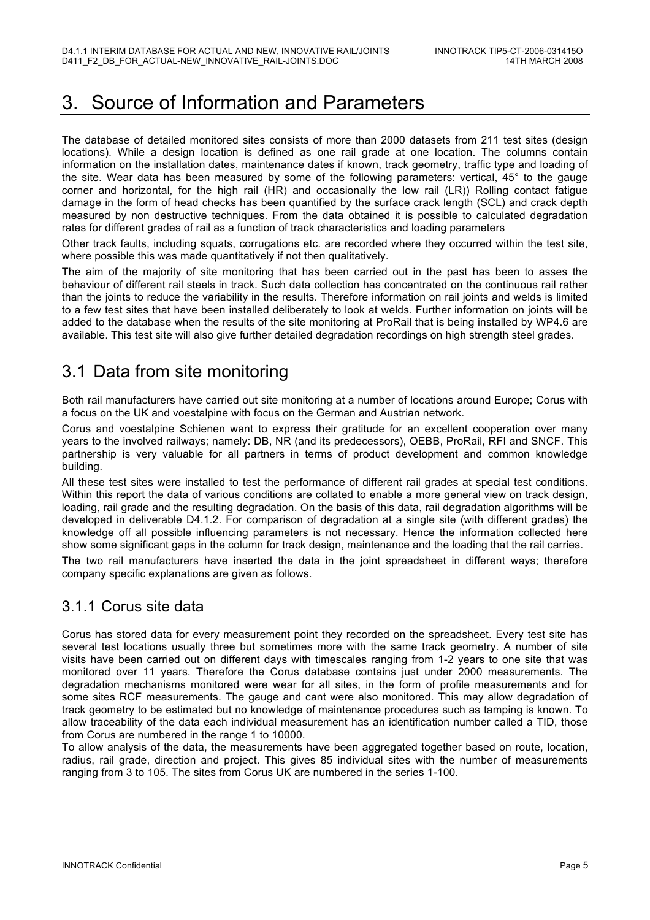### 3. Source of Information and Parameters

The database of detailed monitored sites consists of more than 2000 datasets from 211 test sites (design locations). While a design location is defined as one rail grade at one location. The columns contain information on the installation dates, maintenance dates if known, track geometry, traffic type and loading of the site. Wear data has been measured by some of the following parameters: vertical, 45° to the gauge corner and horizontal, for the high rail (HR) and occasionally the low rail (LR)) Rolling contact fatigue damage in the form of head checks has been quantified by the surface crack length (SCL) and crack depth measured by non destructive techniques. From the data obtained it is possible to calculated degradation rates for different grades of rail as a function of track characteristics and loading parameters

Other track faults, including squats, corrugations etc. are recorded where they occurred within the test site, where possible this was made quantitatively if not then qualitatively.

The aim of the majority of site monitoring that has been carried out in the past has been to asses the behaviour of different rail steels in track. Such data collection has concentrated on the continuous rail rather than the joints to reduce the variability in the results. Therefore information on rail joints and welds is limited to a few test sites that have been installed deliberately to look at welds. Further information on joints will be added to the database when the results of the site monitoring at ProRail that is being installed by WP4.6 are available. This test site will also give further detailed degradation recordings on high strength steel grades.

### 3.1 Data from site monitoring

Both rail manufacturers have carried out site monitoring at a number of locations around Europe; Corus with a focus on the UK and voestalpine with focus on the German and Austrian network.

Corus and voestalpine Schienen want to express their gratitude for an excellent cooperation over many years to the involved railways; namely: DB, NR (and its predecessors), OEBB, ProRail, RFI and SNCF. This partnership is very valuable for all partners in terms of product development and common knowledge building.

All these test sites were installed to test the performance of different rail grades at special test conditions. Within this report the data of various conditions are collated to enable a more general view on track design, loading, rail grade and the resulting degradation. On the basis of this data, rail degradation algorithms will be developed in deliverable D4.1.2. For comparison of degradation at a single site (with different grades) the knowledge off all possible influencing parameters is not necessary. Hence the information collected here show some significant gaps in the column for track design, maintenance and the loading that the rail carries.

The two rail manufacturers have inserted the data in the joint spreadsheet in different ways; therefore company specific explanations are given as follows.

#### 3.1.1 Corus site data

Corus has stored data for every measurement point they recorded on the spreadsheet. Every test site has several test locations usually three but sometimes more with the same track geometry. A number of site visits have been carried out on different days with timescales ranging from 1-2 years to one site that was monitored over 11 years. Therefore the Corus database contains just under 2000 measurements. The degradation mechanisms monitored were wear for all sites, in the form of profile measurements and for some sites RCF measurements. The gauge and cant were also monitored. This may allow degradation of track geometry to be estimated but no knowledge of maintenance procedures such as tamping is known. To allow traceability of the data each individual measurement has an identification number called a TID, those from Corus are numbered in the range 1 to 10000.

To allow analysis of the data, the measurements have been aggregated together based on route, location, radius, rail grade, direction and project. This gives 85 individual sites with the number of measurements ranging from 3 to 105. The sites from Corus UK are numbered in the series 1-100.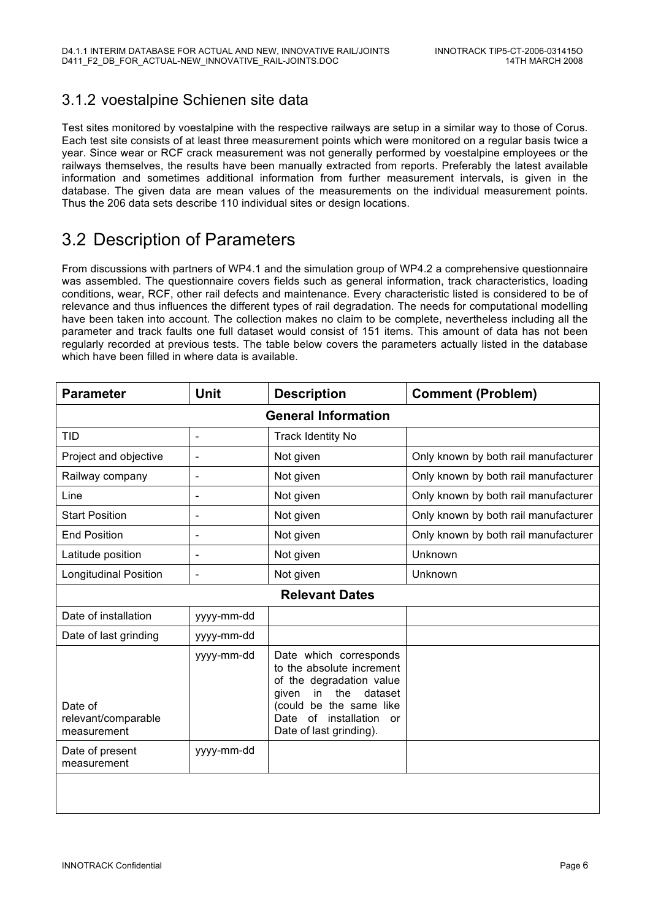#### 3.1.2 voestalpine Schienen site data

Test sites monitored by voestalpine with the respective railways are setup in a similar way to those of Corus. Each test site consists of at least three measurement points which were monitored on a regular basis twice a year. Since wear or RCF crack measurement was not generally performed by voestalpine employees or the railways themselves, the results have been manually extracted from reports. Preferably the latest available information and sometimes additional information from further measurement intervals, is given in the database. The given data are mean values of the measurements on the individual measurement points. Thus the 206 data sets describe 110 individual sites or design locations.

#### 3.2 Description of Parameters

From discussions with partners of WP4.1 and the simulation group of WP4.2 a comprehensive questionnaire was assembled. The questionnaire covers fields such as general information, track characteristics, loading conditions, wear, RCF, other rail defects and maintenance. Every characteristic listed is considered to be of relevance and thus influences the different types of rail degradation. The needs for computational modelling have been taken into account. The collection makes no claim to be complete, nevertheless including all the parameter and track faults one full dataset would consist of 151 items. This amount of data has not been regularly recorded at previous tests. The table below covers the parameters actually listed in the database which have been filled in where data is available.

| <b>Parameter</b>                              | Unit                         | <b>Description</b>                                                                                                                                                                                                | <b>Comment (Problem)</b>             |
|-----------------------------------------------|------------------------------|-------------------------------------------------------------------------------------------------------------------------------------------------------------------------------------------------------------------|--------------------------------------|
| <b>General Information</b>                    |                              |                                                                                                                                                                                                                   |                                      |
| TID                                           | $\qquad \qquad \blacksquare$ | <b>Track Identity No</b>                                                                                                                                                                                          |                                      |
| Project and objective                         |                              | Not given                                                                                                                                                                                                         | Only known by both rail manufacturer |
| Railway company                               | $\blacksquare$               | Not given                                                                                                                                                                                                         | Only known by both rail manufacturer |
| Line                                          | $\blacksquare$               | Not given                                                                                                                                                                                                         | Only known by both rail manufacturer |
| <b>Start Position</b>                         |                              | Not given                                                                                                                                                                                                         | Only known by both rail manufacturer |
| <b>End Position</b>                           | $\overline{\phantom{a}}$     | Not given                                                                                                                                                                                                         | Only known by both rail manufacturer |
| Latitude position                             | $\overline{\phantom{a}}$     | Not given                                                                                                                                                                                                         | Unknown                              |
| <b>Longitudinal Position</b>                  | $\blacksquare$               | Not given                                                                                                                                                                                                         | Unknown                              |
|                                               |                              | <b>Relevant Dates</b>                                                                                                                                                                                             |                                      |
| Date of installation                          | yyyy-mm-dd                   |                                                                                                                                                                                                                   |                                      |
| Date of last grinding                         | yyyy-mm-dd                   |                                                                                                                                                                                                                   |                                      |
| Date of<br>relevant/comparable<br>measurement | yyyy-mm-dd                   | Date which corresponds<br>to the absolute increment<br>of the degradation value<br>the<br>dataset<br>in<br>given<br>(could be the same like<br>$\circ$ f<br>installation<br>Date<br>or<br>Date of last grinding). |                                      |
| Date of present<br>measurement                | yyyy-mm-dd                   |                                                                                                                                                                                                                   |                                      |
|                                               |                              |                                                                                                                                                                                                                   |                                      |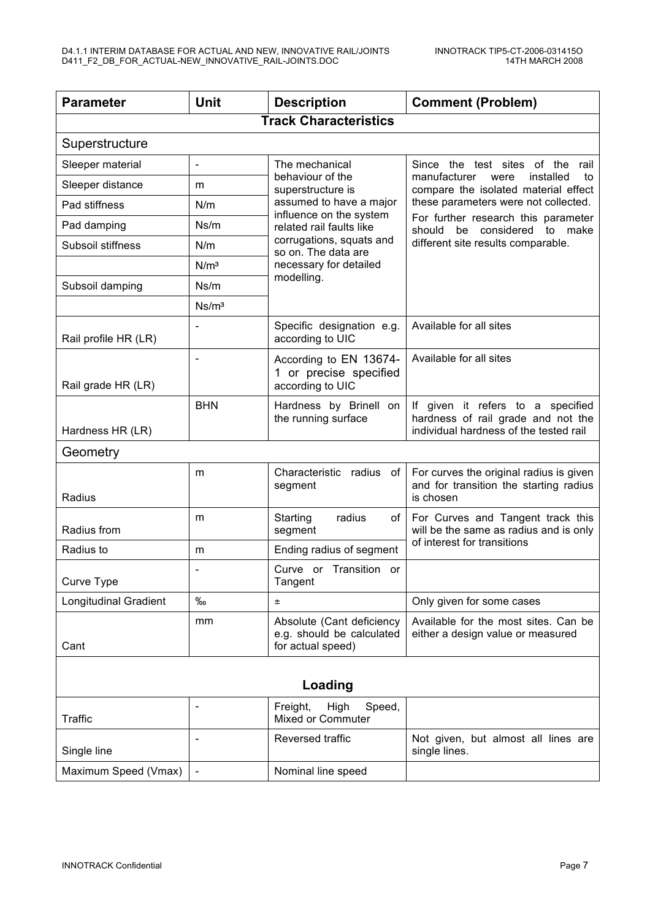| <b>Parameter</b>             | <b>Unit</b>              | <b>Description</b>                                                          | <b>Comment (Problem)</b>                                                                                                                                |
|------------------------------|--------------------------|-----------------------------------------------------------------------------|---------------------------------------------------------------------------------------------------------------------------------------------------------|
|                              |                          | <b>Track Characteristics</b>                                                |                                                                                                                                                         |
| Superstructure               |                          |                                                                             |                                                                                                                                                         |
| Sleeper material             | $\blacksquare$           | The mechanical                                                              | Since the test sites of the rail                                                                                                                        |
| Sleeper distance             | m                        | behaviour of the<br>superstructure is                                       | manufacturer<br>installed<br>were<br>to<br>compare the isolated material effect                                                                         |
| Pad stiffness                | N/m                      | assumed to have a major<br>influence on the system                          | these parameters were not collected.<br>For further research this parameter<br>be considered<br>to make<br>should<br>different site results comparable. |
| Pad damping                  | Ns/m                     | related rail faults like                                                    |                                                                                                                                                         |
| Subsoil stiffness            | N/m                      | corrugations, squats and<br>so on. The data are                             |                                                                                                                                                         |
|                              | N/m <sup>3</sup>         | necessary for detailed                                                      |                                                                                                                                                         |
| Subsoil damping              | Ns/m                     | modelling.                                                                  |                                                                                                                                                         |
|                              | Ns/m <sup>3</sup>        |                                                                             |                                                                                                                                                         |
| Rail profile HR (LR)         |                          | Specific designation e.g.<br>according to UIC                               | Available for all sites                                                                                                                                 |
| Rail grade HR (LR)           |                          | According to EN 13674-<br>1 or precise specified<br>according to UIC        | Available for all sites                                                                                                                                 |
| Hardness HR (LR)             | <b>BHN</b>               | Hardness by Brinell on<br>the running surface                               | If given it refers to a specified<br>hardness of rail grade and not the<br>individual hardness of the tested rail                                       |
| Geometry                     |                          |                                                                             |                                                                                                                                                         |
| Radius                       | m                        | Characteristic radius<br>of<br>segment                                      | For curves the original radius is given<br>and for transition the starting radius<br>is chosen                                                          |
| Radius from                  | m                        | Starting<br>radius<br>of<br>segment                                         | For Curves and Tangent track this<br>will be the same as radius and is only                                                                             |
| Radius to                    | m                        | Ending radius of segment                                                    | of interest for transitions                                                                                                                             |
| Curve Type                   |                          | Curve or Transition or<br>Tangent                                           |                                                                                                                                                         |
| <b>Longitudinal Gradient</b> | $\%$                     | Ŧ.                                                                          | Only given for some cases                                                                                                                               |
| Cant                         | mm                       | Absolute (Cant deficiency<br>e.g. should be calculated<br>for actual speed) | Available for the most sites. Can be<br>either a design value or measured                                                                               |
| Loading                      |                          |                                                                             |                                                                                                                                                         |
| Traffic                      |                          | Freight,<br>High<br>Speed,<br><b>Mixed or Commuter</b>                      |                                                                                                                                                         |
| Single line                  |                          | Reversed traffic                                                            | Not given, but almost all lines are<br>single lines.                                                                                                    |
| Maximum Speed (Vmax)         | $\overline{\phantom{a}}$ | Nominal line speed                                                          |                                                                                                                                                         |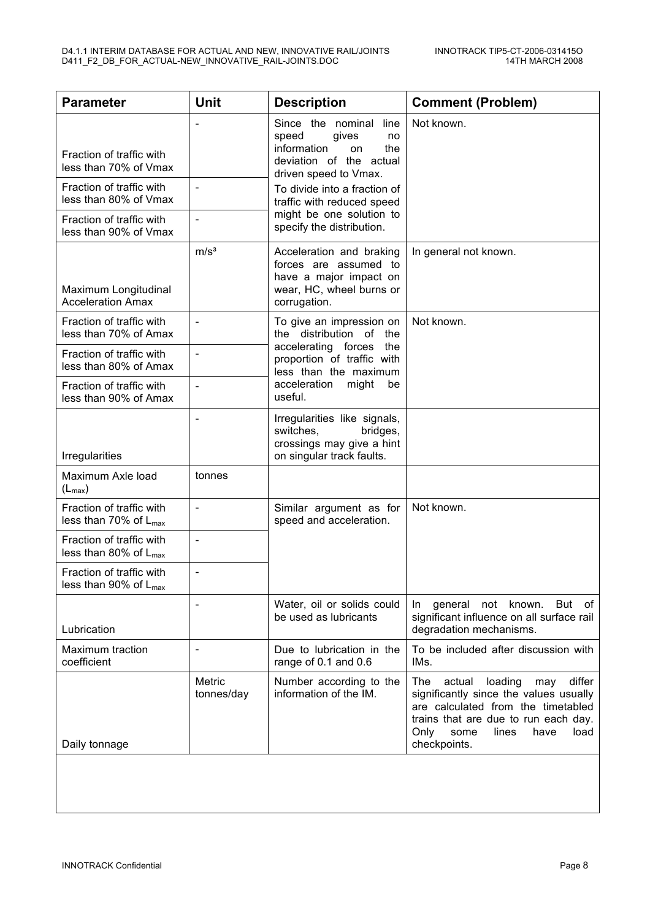| <b>Parameter</b>                                              | Unit                         | <b>Description</b>                                                                                                                | <b>Comment (Problem)</b>                                                                                                                                                                                                   |
|---------------------------------------------------------------|------------------------------|-----------------------------------------------------------------------------------------------------------------------------------|----------------------------------------------------------------------------------------------------------------------------------------------------------------------------------------------------------------------------|
| Fraction of traffic with<br>less than 70% of Vmax             |                              | Since the nominal<br>line<br>speed<br>gives<br>no<br>information<br>the<br>on<br>deviation of the actual<br>driven speed to Vmax. | Not known.                                                                                                                                                                                                                 |
| Fraction of traffic with<br>less than 80% of Vmax             | $\overline{\phantom{a}}$     | To divide into a fraction of<br>traffic with reduced speed                                                                        |                                                                                                                                                                                                                            |
| Fraction of traffic with<br>less than 90% of Vmax             | $\overline{\phantom{a}}$     | might be one solution to<br>specify the distribution.                                                                             |                                                                                                                                                                                                                            |
| Maximum Longitudinal<br><b>Acceleration Amax</b>              | m/s <sup>3</sup>             | Acceleration and braking<br>forces are assumed to<br>have a major impact on<br>wear, HC, wheel burns or<br>corrugation.           | In general not known.                                                                                                                                                                                                      |
| Fraction of traffic with<br>less than 70% of Amax             | $\overline{\phantom{a}}$     | To give an impression on<br>the distribution of the                                                                               | Not known.                                                                                                                                                                                                                 |
| Fraction of traffic with<br>less than 80% of Amax             | $\overline{\phantom{a}}$     | accelerating forces the<br>proportion of traffic with<br>less than the maximum                                                    |                                                                                                                                                                                                                            |
| Fraction of traffic with<br>less than 90% of Amax             | $\overline{\phantom{a}}$     | acceleration<br>might<br>be<br>useful.                                                                                            |                                                                                                                                                                                                                            |
| Irregularities                                                | $\qquad \qquad \blacksquare$ | Irregularities like signals,<br>switches,<br>bridges,<br>crossings may give a hint<br>on singular track faults.                   |                                                                                                                                                                                                                            |
| Maximum Axle load<br>$(L_{\text{max}})$                       | tonnes                       |                                                                                                                                   |                                                                                                                                                                                                                            |
| Fraction of traffic with<br>less than 70% of $L_{\text{max}}$ | $\frac{1}{2}$                | Similar argument as for<br>speed and acceleration.                                                                                | Not known.                                                                                                                                                                                                                 |
| Fraction of traffic with<br>less than 80% of $L_{max}$        | $\overline{\phantom{a}}$     |                                                                                                                                   |                                                                                                                                                                                                                            |
| Fraction of traffic with<br>less than 90% of $L_{\text{max}}$ | $\overline{\phantom{a}}$     |                                                                                                                                   |                                                                                                                                                                                                                            |
| Lubrication                                                   | $\overline{\phantom{a}}$     | Water, oil or solids could<br>be used as lubricants                                                                               | general not known.<br>But of<br>In<br>significant influence on all surface rail<br>degradation mechanisms.                                                                                                                 |
| Maximum traction<br>coefficient                               | $\overline{\phantom{a}}$     | Due to lubrication in the<br>range of 0.1 and 0.6                                                                                 | To be included after discussion with<br>IMs.                                                                                                                                                                               |
| Daily tonnage                                                 | <b>Metric</b><br>tonnes/day  | Number according to the<br>information of the IM.                                                                                 | differ<br>actual<br>loading<br>The<br>may<br>significantly since the values usually<br>are calculated from the timetabled<br>trains that are due to run each day.<br>Only<br>some<br>lines<br>have<br>load<br>checkpoints. |
|                                                               |                              |                                                                                                                                   |                                                                                                                                                                                                                            |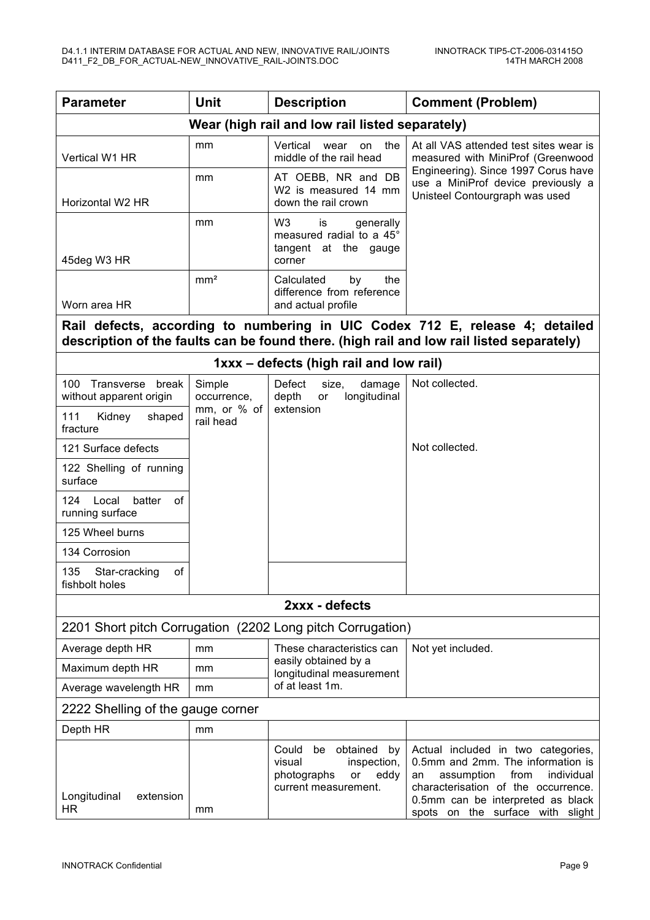| <b>Parameter</b>                                           | <b>Unit</b>              | <b>Description</b>                                                                                          | <b>Comment (Problem)</b>                                                                                                                                                                                                          |  |
|------------------------------------------------------------|--------------------------|-------------------------------------------------------------------------------------------------------------|-----------------------------------------------------------------------------------------------------------------------------------------------------------------------------------------------------------------------------------|--|
| Wear (high rail and low rail listed separately)            |                          |                                                                                                             |                                                                                                                                                                                                                                   |  |
| Vertical W1 HR                                             | mm                       | Vertical<br>the<br>wear<br>on<br>middle of the rail head                                                    | At all VAS attended test sites wear is<br>measured with MiniProf (Greenwood                                                                                                                                                       |  |
| Horizontal W2 HR                                           | mm                       | AT OEBB, NR and DB<br>W2 is measured 14 mm<br>down the rail crown                                           | Engineering). Since 1997 Corus have<br>use a MiniProf device previously a<br>Unisteel Contourgraph was used                                                                                                                       |  |
| 45deg W3 HR                                                | mm                       | W <sub>3</sub><br>is<br>generally<br>measured radial to a 45°<br>tangent at the gauge<br>corner             |                                                                                                                                                                                                                                   |  |
|                                                            | mm <sup>2</sup>          | Calculated<br>the<br>by                                                                                     |                                                                                                                                                                                                                                   |  |
| Worn area HR                                               |                          | difference from reference<br>and actual profile                                                             |                                                                                                                                                                                                                                   |  |
|                                                            |                          |                                                                                                             | Rail defects, according to numbering in UIC Codex 712 E, release 4; detailed                                                                                                                                                      |  |
|                                                            |                          |                                                                                                             | description of the faults can be found there. (high rail and low rail listed separately)                                                                                                                                          |  |
|                                                            |                          | 1xxx - defects (high rail and low rail)                                                                     |                                                                                                                                                                                                                                   |  |
| 100<br>Transverse<br>break<br>without apparent origin      | Simple<br>occurrence,    | Defect<br>damage<br>size,<br>depth<br>longitudinal<br>or                                                    | Not collected.                                                                                                                                                                                                                    |  |
| 111<br>shaped<br>Kidney<br>fracture                        | mm, or % of<br>rail head | extension                                                                                                   |                                                                                                                                                                                                                                   |  |
| 121 Surface defects                                        |                          |                                                                                                             | Not collected.                                                                                                                                                                                                                    |  |
| 122 Shelling of running<br>surface                         |                          |                                                                                                             |                                                                                                                                                                                                                                   |  |
| 124<br>Local<br>batter<br>of<br>running surface            |                          |                                                                                                             |                                                                                                                                                                                                                                   |  |
| 125 Wheel burns                                            |                          |                                                                                                             |                                                                                                                                                                                                                                   |  |
| 134 Corrosion                                              |                          |                                                                                                             |                                                                                                                                                                                                                                   |  |
| 135<br>Star-cracking<br>Ωf<br>fishbolt holes               |                          |                                                                                                             |                                                                                                                                                                                                                                   |  |
| 2xxx - defects                                             |                          |                                                                                                             |                                                                                                                                                                                                                                   |  |
| 2201 Short pitch Corrugation (2202 Long pitch Corrugation) |                          |                                                                                                             |                                                                                                                                                                                                                                   |  |
| Average depth HR                                           | mm                       | These characteristics can                                                                                   | Not yet included.                                                                                                                                                                                                                 |  |
| Maximum depth HR                                           | mm                       | easily obtained by a<br>longitudinal measurement                                                            |                                                                                                                                                                                                                                   |  |
| Average wavelength HR                                      | mm                       | of at least 1m.                                                                                             |                                                                                                                                                                                                                                   |  |
| 2222 Shelling of the gauge corner                          |                          |                                                                                                             |                                                                                                                                                                                                                                   |  |
| Depth HR                                                   | mm                       |                                                                                                             |                                                                                                                                                                                                                                   |  |
| Longitudinal<br>extension<br>HR                            | mm                       | be<br>obtained<br>Could<br>by<br>visual<br>inspection,<br>photographs<br>eddy<br>or<br>current measurement. | Actual included in two categories,<br>0.5mm and 2mm. The information is<br>assumption<br>from<br>individual<br>an<br>characterisation of the occurrence.<br>0.5mm can be interpreted as black<br>spots on the surface with slight |  |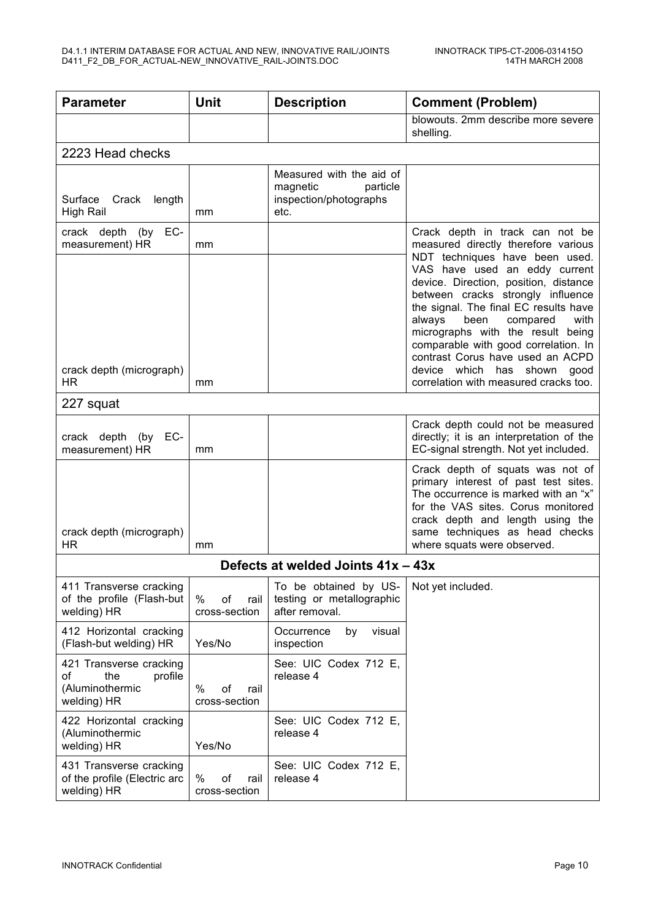| <b>Parameter</b>                                                                  | <b>Unit</b>                        | <b>Description</b>                                                                 | <b>Comment (Problem)</b>                                                                                                                                                                                                                                                                                                                                                                                                                                                                           |  |
|-----------------------------------------------------------------------------------|------------------------------------|------------------------------------------------------------------------------------|----------------------------------------------------------------------------------------------------------------------------------------------------------------------------------------------------------------------------------------------------------------------------------------------------------------------------------------------------------------------------------------------------------------------------------------------------------------------------------------------------|--|
|                                                                                   |                                    |                                                                                    | blowouts. 2mm describe more severe<br>shelling.                                                                                                                                                                                                                                                                                                                                                                                                                                                    |  |
| 2223 Head checks                                                                  |                                    |                                                                                    |                                                                                                                                                                                                                                                                                                                                                                                                                                                                                                    |  |
| Surface<br>Crack<br>length<br><b>High Rail</b>                                    | mm                                 | Measured with the aid of<br>magnetic<br>particle<br>inspection/photographs<br>etc. |                                                                                                                                                                                                                                                                                                                                                                                                                                                                                                    |  |
| EC-<br>crack depth (by<br>measurement) HR<br>crack depth (micrograph)<br>HR.      | mm                                 |                                                                                    | Crack depth in track can not be<br>measured directly therefore various<br>NDT techniques have been used.<br>VAS have used an eddy current<br>device. Direction, position, distance<br>between cracks strongly influence<br>the signal. The final EC results have<br>always<br>been<br>compared<br>with<br>micrographs with the result being<br>comparable with good correlation. In<br>contrast Corus have used an ACPD<br>device which<br>has shown good<br>correlation with measured cracks too. |  |
| 227 squat                                                                         | mm                                 |                                                                                    |                                                                                                                                                                                                                                                                                                                                                                                                                                                                                                    |  |
| EC-<br>crack depth<br>(by<br>measurement) HR                                      | mm                                 |                                                                                    | Crack depth could not be measured<br>directly; it is an interpretation of the<br>EC-signal strength. Not yet included.                                                                                                                                                                                                                                                                                                                                                                             |  |
| crack depth (micrograph)<br>HR.                                                   | mm                                 |                                                                                    | Crack depth of squats was not of<br>primary interest of past test sites.<br>The occurrence is marked with an "x"<br>for the VAS sites. Corus monitored<br>crack depth and length using the<br>same techniques as head checks<br>where squats were observed.                                                                                                                                                                                                                                        |  |
|                                                                                   | Defects at welded Joints 41x - 43x |                                                                                    |                                                                                                                                                                                                                                                                                                                                                                                                                                                                                                    |  |
| 411 Transverse cracking<br>of the profile (Flash-but<br>welding) HR               | %<br>of<br>rail<br>cross-section   | To be obtained by US-<br>testing or metallographic<br>after removal.               | Not yet included.                                                                                                                                                                                                                                                                                                                                                                                                                                                                                  |  |
| 412 Horizontal cracking<br>(Flash-but welding) HR                                 | Yes/No                             | visual<br>Occurrence<br>by<br>inspection                                           |                                                                                                                                                                                                                                                                                                                                                                                                                                                                                                    |  |
| 421 Transverse cracking<br>of<br>the<br>profile<br>(Aluminothermic<br>welding) HR | %<br>of<br>rail<br>cross-section   | See: UIC Codex 712 E,<br>release 4                                                 |                                                                                                                                                                                                                                                                                                                                                                                                                                                                                                    |  |
| 422 Horizontal cracking<br>(Aluminothermic<br>welding) HR                         | Yes/No                             | See: UIC Codex 712 E,<br>release 4                                                 |                                                                                                                                                                                                                                                                                                                                                                                                                                                                                                    |  |
| 431 Transverse cracking<br>of the profile (Electric arc<br>welding) HR            | %<br>of<br>rail<br>cross-section   | See: UIC Codex 712 E,<br>release 4                                                 |                                                                                                                                                                                                                                                                                                                                                                                                                                                                                                    |  |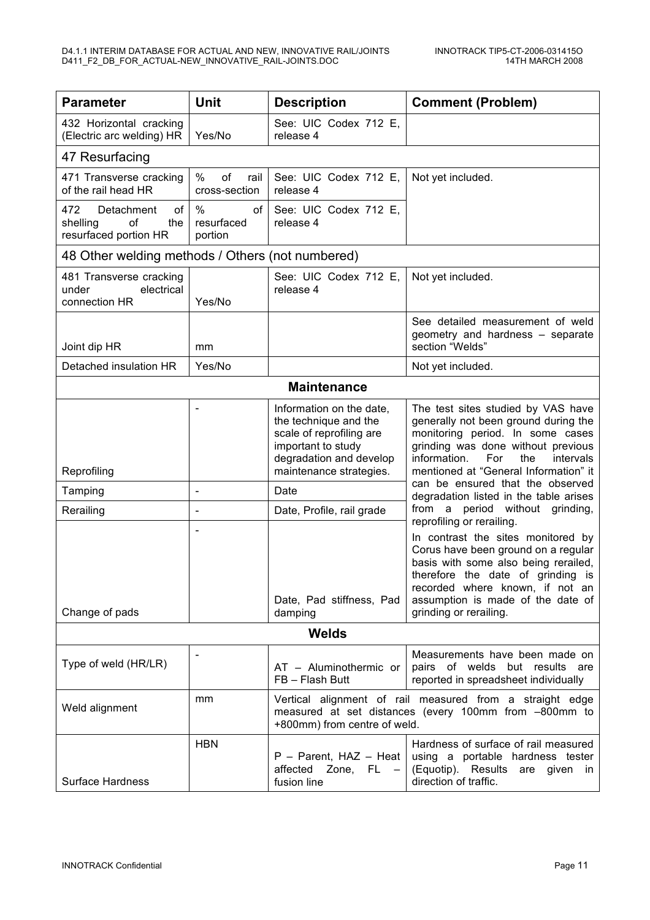| <b>Parameter</b>                                                          | Unit                                | <b>Description</b>                                                                                                                                        | <b>Comment (Problem)</b>                                                                                                                                                                                                                                 |  |
|---------------------------------------------------------------------------|-------------------------------------|-----------------------------------------------------------------------------------------------------------------------------------------------------------|----------------------------------------------------------------------------------------------------------------------------------------------------------------------------------------------------------------------------------------------------------|--|
| 432 Horizontal cracking<br>(Electric arc welding) HR                      | Yes/No                              | See: UIC Codex 712 E,<br>release 4                                                                                                                        |                                                                                                                                                                                                                                                          |  |
| 47 Resurfacing                                                            |                                     |                                                                                                                                                           |                                                                                                                                                                                                                                                          |  |
| 471 Transverse cracking<br>of the rail head HR                            | $\%$<br>of<br>rail<br>cross-section | See: UIC Codex 712 E,<br>release 4                                                                                                                        | Not yet included.                                                                                                                                                                                                                                        |  |
| 472<br>Detachment<br>οf<br>of<br>the<br>shelling<br>resurfaced portion HR | %<br>οf<br>resurfaced<br>portion    | See: UIC Codex 712 E,<br>release 4                                                                                                                        |                                                                                                                                                                                                                                                          |  |
| 48 Other welding methods / Others (not numbered)                          |                                     |                                                                                                                                                           |                                                                                                                                                                                                                                                          |  |
| 481 Transverse cracking<br>electrical<br>under<br>connection HR           | Yes/No                              | See: UIC Codex 712 E,<br>release 4                                                                                                                        | Not yet included.                                                                                                                                                                                                                                        |  |
| Joint dip HR                                                              | mm                                  |                                                                                                                                                           | See detailed measurement of weld<br>geometry and hardness - separate<br>section "Welds"                                                                                                                                                                  |  |
| Detached insulation HR                                                    | Yes/No                              |                                                                                                                                                           | Not yet included.                                                                                                                                                                                                                                        |  |
|                                                                           |                                     | <b>Maintenance</b>                                                                                                                                        |                                                                                                                                                                                                                                                          |  |
| Reprofiling                                                               | $\overline{\phantom{0}}$            | Information on the date,<br>the technique and the<br>scale of reprofiling are<br>important to study<br>degradation and develop<br>maintenance strategies. | The test sites studied by VAS have<br>generally not been ground during the<br>monitoring period. In some cases<br>grinding was done without previous<br>information.<br>For<br>the<br>intervals<br>mentioned at "General Information" it                 |  |
| Tamping                                                                   | -                                   | Date                                                                                                                                                      | can be ensured that the observed<br>degradation listed in the table arises                                                                                                                                                                               |  |
| Rerailing                                                                 | $\overline{\phantom{a}}$            | Date, Profile, rail grade                                                                                                                                 | from a period without grinding,<br>reprofiling or rerailing.                                                                                                                                                                                             |  |
| Change of pads                                                            |                                     | Date, Pad stiffness, Pad<br>damping                                                                                                                       | In contrast the sites monitored by<br>Corus have been ground on a regular<br>basis with some also being rerailed,<br>therefore the date of grinding is<br>recorded where known, if not an<br>assumption is made of the date of<br>grinding or rerailing. |  |
| <b>Welds</b>                                                              |                                     |                                                                                                                                                           |                                                                                                                                                                                                                                                          |  |
| Type of weld (HR/LR)                                                      |                                     | AT - Aluminothermic or<br>FB - Flash Butt                                                                                                                 | Measurements have been made on<br>pairs of welds but results are<br>reported in spreadsheet individually                                                                                                                                                 |  |
| mm<br>Weld alignment                                                      |                                     | +800mm) from centre of weld.                                                                                                                              | Vertical alignment of rail measured from a straight edge<br>measured at set distances (every 100mm from -800mm to                                                                                                                                        |  |
| <b>Surface Hardness</b>                                                   | <b>HBN</b>                          | $P - Parent$ , HAZ - Heat<br>affected Zone, FL -<br>fusion line                                                                                           | Hardness of surface of rail measured<br>using a portable hardness tester<br>(Equotip). Results are given in<br>direction of traffic.                                                                                                                     |  |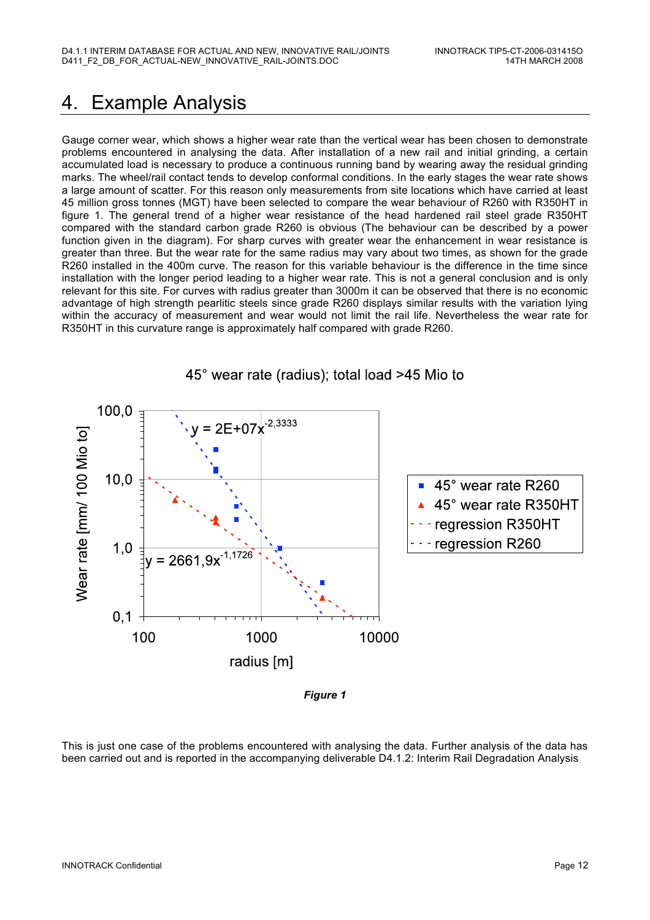### 4. Example Analysis

Gauge corner wear, which shows a higher wear rate than the vertical wear has been chosen to demonstrate problems encountered in analysing the data. After installation of a new rail and initial grinding, a certain accumulated load is necessary to produce a continuous running band by wearing away the residual grinding marks. The wheel/rail contact tends to develop conformal conditions. In the early stages the wear rate shows a large amount of scatter. For this reason only measurements from site locations which have carried at least 45 million gross tonnes (MGT) have been selected to compare the wear behaviour of R260 with R350HT in figure 1. The general trend of a higher wear resistance of the head hardened rail steel grade R350HT compared with the standard carbon grade R260 is obvious (The behaviour can be described by a power function given in the diagram). For sharp curves with greater wear the enhancement in wear resistance is greater than three. But the wear rate for the same radius may vary about two times, as shown for the grade R260 installed in the 400m curve. The reason for this variable behaviour is the difference in the time since installation with the longer period leading to a higher wear rate. This is not a general conclusion and is only relevant for this site. For curves with radius greater than 3000m it can be observed that there is no economic advantage of high strength pearlitic steels since grade R260 displays similar results with the variation lying within the accuracy of measurement and wear would not limit the rail life. Nevertheless the wear rate for R350HT in this curvature range is approximately half compared with grade R260.



*Figure 1*

This is just one case of the problems encountered with analysing the data. Further analysis of the data has been carried out and is reported in the accompanying deliverable D4.1.2: Interim Rail Degradation Analysis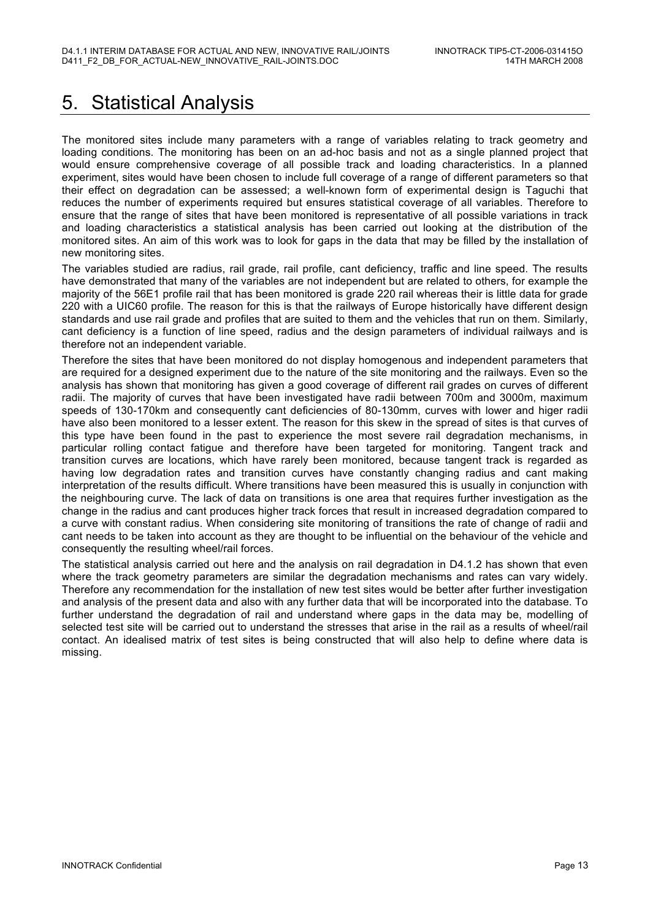## 5. Statistical Analysis

The monitored sites include many parameters with a range of variables relating to track geometry and loading conditions. The monitoring has been on an ad-hoc basis and not as a single planned project that would ensure comprehensive coverage of all possible track and loading characteristics. In a planned experiment, sites would have been chosen to include full coverage of a range of different parameters so that their effect on degradation can be assessed; a well-known form of experimental design is Taguchi that reduces the number of experiments required but ensures statistical coverage of all variables. Therefore to ensure that the range of sites that have been monitored is representative of all possible variations in track and loading characteristics a statistical analysis has been carried out looking at the distribution of the monitored sites. An aim of this work was to look for gaps in the data that may be filled by the installation of new monitoring sites.

The variables studied are radius, rail grade, rail profile, cant deficiency, traffic and line speed. The results have demonstrated that many of the variables are not independent but are related to others, for example the majority of the 56E1 profile rail that has been monitored is grade 220 rail whereas their is little data for grade 220 with a UIC60 profile. The reason for this is that the railways of Europe historically have different design standards and use rail grade and profiles that are suited to them and the vehicles that run on them. Similarly, cant deficiency is a function of line speed, radius and the design parameters of individual railways and is therefore not an independent variable.

Therefore the sites that have been monitored do not display homogenous and independent parameters that are required for a designed experiment due to the nature of the site monitoring and the railways. Even so the analysis has shown that monitoring has given a good coverage of different rail grades on curves of different radii. The majority of curves that have been investigated have radii between 700m and 3000m, maximum speeds of 130-170km and consequently cant deficiencies of 80-130mm, curves with lower and higer radii have also been monitored to a lesser extent. The reason for this skew in the spread of sites is that curves of this type have been found in the past to experience the most severe rail degradation mechanisms, in particular rolling contact fatigue and therefore have been targeted for monitoring. Tangent track and transition curves are locations, which have rarely been monitored, because tangent track is regarded as having low degradation rates and transition curves have constantly changing radius and cant making interpretation of the results difficult. Where transitions have been measured this is usually in conjunction with the neighbouring curve. The lack of data on transitions is one area that requires further investigation as the change in the radius and cant produces higher track forces that result in increased degradation compared to a curve with constant radius. When considering site monitoring of transitions the rate of change of radii and cant needs to be taken into account as they are thought to be influential on the behaviour of the vehicle and consequently the resulting wheel/rail forces.

The statistical analysis carried out here and the analysis on rail degradation in D4.1.2 has shown that even where the track geometry parameters are similar the degradation mechanisms and rates can vary widely. Therefore any recommendation for the installation of new test sites would be better after further investigation and analysis of the present data and also with any further data that will be incorporated into the database. To further understand the degradation of rail and understand where gaps in the data may be, modelling of selected test site will be carried out to understand the stresses that arise in the rail as a results of wheel/rail contact. An idealised matrix of test sites is being constructed that will also help to define where data is missing.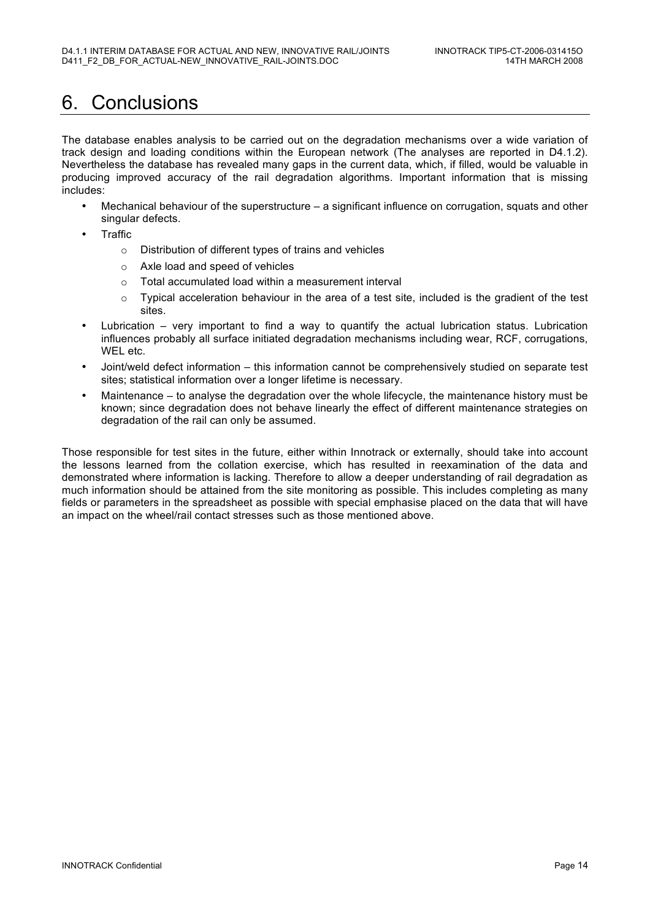### 6. Conclusions

The database enables analysis to be carried out on the degradation mechanisms over a wide variation of track design and loading conditions within the European network (The analyses are reported in D4.1.2). Nevertheless the database has revealed many gaps in the current data, which, if filled, would be valuable in producing improved accuracy of the rail degradation algorithms. Important information that is missing includes:

- Mechanical behaviour of the superstructure  $-$  a significant influence on corrugation, squats and other singular defects.
- **Traffic** 
	- o Distribution of different types of trains and vehicles
	- o Axle load and speed of vehicles
	- o Total accumulated load within a measurement interval
	- $\circ$  Typical acceleration behaviour in the area of a test site, included is the gradient of the test sites.
- Lubrication very important to find a way to quantify the actual lubrication status. Lubrication influences probably all surface initiated degradation mechanisms including wear, RCF, corrugations, WEL etc.
- Joint/weld defect information this information cannot be comprehensively studied on separate test sites; statistical information over a longer lifetime is necessary.
- Maintenance to analyse the degradation over the whole lifecycle, the maintenance history must be known; since degradation does not behave linearly the effect of different maintenance strategies on degradation of the rail can only be assumed.

Those responsible for test sites in the future, either within Innotrack or externally, should take into account the lessons learned from the collation exercise, which has resulted in reexamination of the data and demonstrated where information is lacking. Therefore to allow a deeper understanding of rail degradation as much information should be attained from the site monitoring as possible. This includes completing as many fields or parameters in the spreadsheet as possible with special emphasise placed on the data that will have an impact on the wheel/rail contact stresses such as those mentioned above.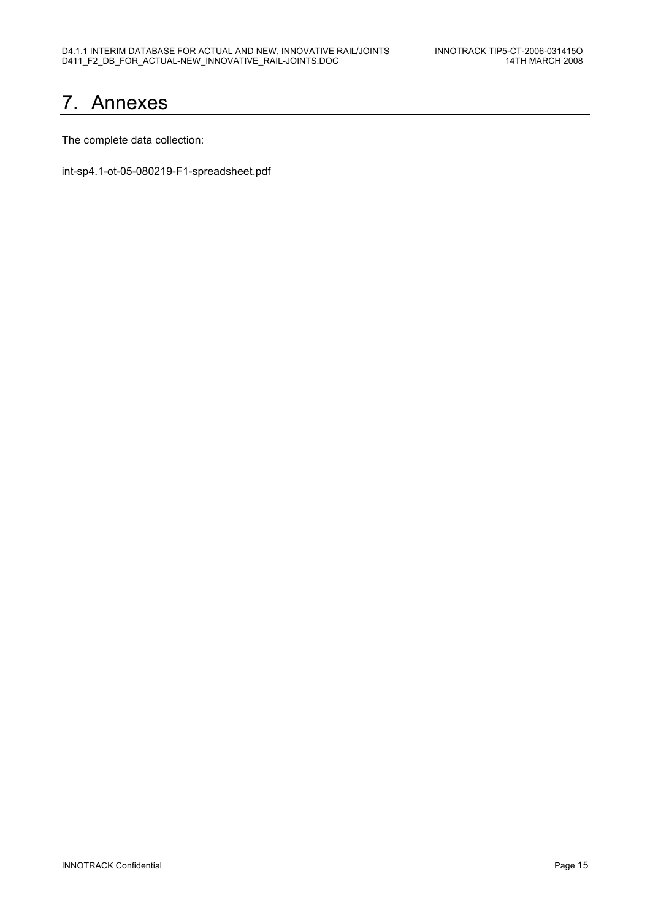### 7. Annexes

The complete data collection:

int-sp4.1-ot-05-080219-F1-spreadsheet.pdf